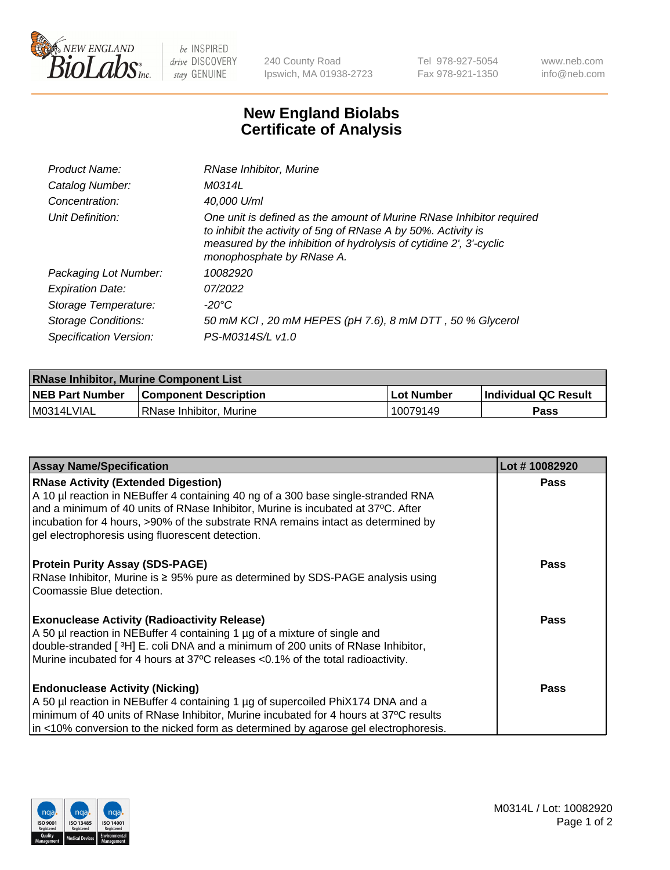

 $be$  INSPIRED drive DISCOVERY stay GENUINE

240 County Road Ipswich, MA 01938-2723 Tel 978-927-5054 Fax 978-921-1350 www.neb.com info@neb.com

## **New England Biolabs Certificate of Analysis**

| Product Name:              | RNase Inhibitor, Murine                                                                                                                                                                                                                  |
|----------------------------|------------------------------------------------------------------------------------------------------------------------------------------------------------------------------------------------------------------------------------------|
| Catalog Number:            | M0314L                                                                                                                                                                                                                                   |
| Concentration:             | 40,000 U/ml                                                                                                                                                                                                                              |
| Unit Definition:           | One unit is defined as the amount of Murine RNase Inhibitor required<br>to inhibit the activity of 5ng of RNase A by 50%. Activity is<br>measured by the inhibition of hydrolysis of cytidine 2', 3'-cyclic<br>monophosphate by RNase A. |
| Packaging Lot Number:      | 10082920                                                                                                                                                                                                                                 |
| <b>Expiration Date:</b>    | 07/2022                                                                                                                                                                                                                                  |
| Storage Temperature:       | $-20^{\circ}$ C                                                                                                                                                                                                                          |
| <b>Storage Conditions:</b> | 50 mM KCI, 20 mM HEPES (pH 7.6), 8 mM DTT, 50 % Glycerol                                                                                                                                                                                 |
| Specification Version:     | PS-M0314S/L v1.0                                                                                                                                                                                                                         |

| <b>RNase Inhibitor, Murine Component List</b> |                              |              |                             |  |
|-----------------------------------------------|------------------------------|--------------|-----------------------------|--|
| <b>NEB Part Number</b>                        | <b>Component Description</b> | l Lot Number | <b>Individual QC Result</b> |  |
| M0314LVIAL                                    | l RNase Inhibitor. Murine    | 10079149     | Pass                        |  |

| <b>Assay Name/Specification</b>                                                                                                                                                                                                                                                                                                                              | Lot #10082920 |
|--------------------------------------------------------------------------------------------------------------------------------------------------------------------------------------------------------------------------------------------------------------------------------------------------------------------------------------------------------------|---------------|
| <b>RNase Activity (Extended Digestion)</b><br>A 10 µl reaction in NEBuffer 4 containing 40 ng of a 300 base single-stranded RNA<br>and a minimum of 40 units of RNase Inhibitor, Murine is incubated at 37°C. After<br>incubation for 4 hours, >90% of the substrate RNA remains intact as determined by<br>gel electrophoresis using fluorescent detection. | <b>Pass</b>   |
| <b>Protein Purity Assay (SDS-PAGE)</b><br>RNase Inhibitor, Murine is ≥ 95% pure as determined by SDS-PAGE analysis using<br>Coomassie Blue detection.                                                                                                                                                                                                        | <b>Pass</b>   |
| <b>Exonuclease Activity (Radioactivity Release)</b><br>A 50 µl reaction in NEBuffer 4 containing 1 µg of a mixture of single and<br>double-stranded [3H] E. coli DNA and a minimum of 200 units of RNase Inhibitor,<br>Murine incubated for 4 hours at 37°C releases <0.1% of the total radioactivity.                                                       | <b>Pass</b>   |
| <b>Endonuclease Activity (Nicking)</b><br>A 50 µl reaction in NEBuffer 4 containing 1 µg of supercoiled PhiX174 DNA and a<br>minimum of 40 units of RNase Inhibitor, Murine incubated for 4 hours at 37°C results<br>in <10% conversion to the nicked form as determined by agarose gel electrophoresis.                                                     | <b>Pass</b>   |